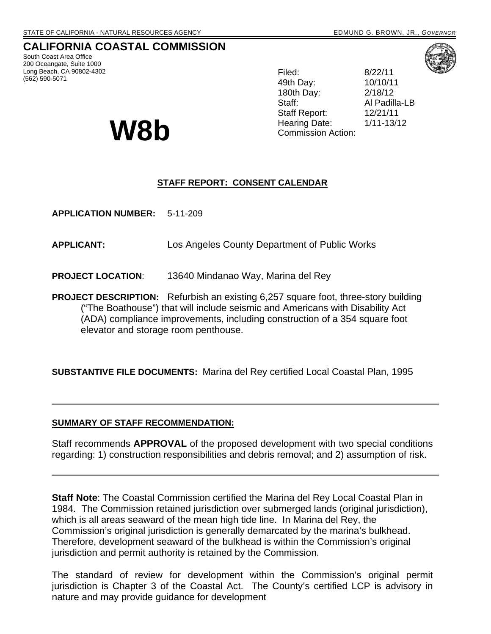# **CALIFORNIA COASTAL COMMISSION**

South Coast Area Office 200 Oceangate, Suite 1000 Long Beach, CA 90802-4302 (562) 590-5071

49th Day: 10/10/11 180th Day: 2/18/12 Staff: Al Padilla-LB Staff Report: 12/21/11 Hearing Date: 1/11-13/12 **W8b** Hearing Date:<br>
Commission Action:

Filed: 8/22/11



# **STAFF REPORT: CONSENT CALENDAR**

**APPLICATION NUMBER:** 5-11-209

**APPLICANT:** Los Angeles County Department of Public Works

**PROJECT LOCATION**: 13640 Mindanao Way, Marina del Rey

**PROJECT DESCRIPTION:** Refurbish an existing 6,257 square foot, three-story building ("The Boathouse") that will include seismic and Americans with Disability Act (ADA) compliance improvements, including construction of a 354 square foot elevator and storage room penthouse.

**SUBSTANTIVE FILE DOCUMENTS:** Marina del Rey certified Local Coastal Plan, 1995

#### **SUMMARY OF STAFF RECOMMENDATION:**

Staff recommends **APPROVAL** of the proposed development with two special conditions regarding: 1) construction responsibilities and debris removal; and 2) assumption of risk.

**Staff Note**: The Coastal Commission certified the Marina del Rey Local Coastal Plan in 1984. The Commission retained jurisdiction over submerged lands (original jurisdiction), which is all areas seaward of the mean high tide line. In Marina del Rey, the Commission's original jurisdiction is generally demarcated by the marina's bulkhead. Therefore, development seaward of the bulkhead is within the Commission's original jurisdiction and permit authority is retained by the Commission.

The standard of review for development within the Commission's original permit jurisdiction is Chapter 3 of the Coastal Act. The County's certified LCP is advisory in nature and may provide guidance for development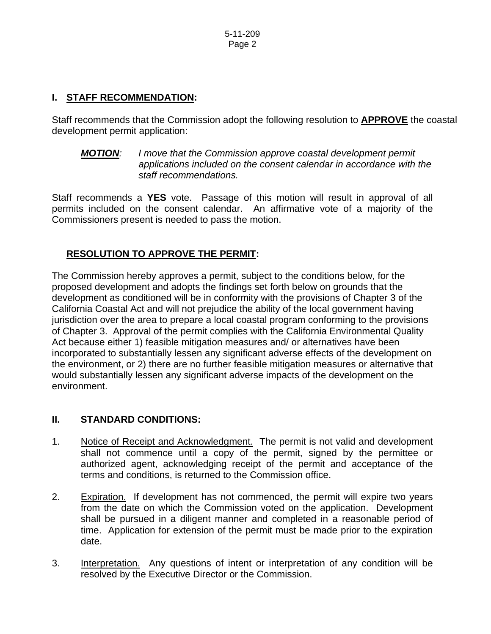## **I. STAFF RECOMMENDATION:**

Staff recommends that the Commission adopt the following resolution to **APPROVE** the coastal development permit application:

*MOTION: I move that the Commission approve coastal development permit applications included on the consent calendar in accordance with the staff recommendations.* 

Staff recommends a **YES** vote. Passage of this motion will result in approval of all permits included on the consent calendar. An affirmative vote of a majority of the Commissioners present is needed to pass the motion.

# **RESOLUTION TO APPROVE THE PERMIT:**

The Commission hereby approves a permit, subject to the conditions below, for the proposed development and adopts the findings set forth below on grounds that the development as conditioned will be in conformity with the provisions of Chapter 3 of the California Coastal Act and will not prejudice the ability of the local government having jurisdiction over the area to prepare a local coastal program conforming to the provisions of Chapter 3. Approval of the permit complies with the California Environmental Quality Act because either 1) feasible mitigation measures and/ or alternatives have been incorporated to substantially lessen any significant adverse effects of the development on the environment, or 2) there are no further feasible mitigation measures or alternative that would substantially lessen any significant adverse impacts of the development on the environment.

## **II. STANDARD CONDITIONS:**

- 1. Notice of Receipt and Acknowledgment. The permit is not valid and development shall not commence until a copy of the permit, signed by the permittee or authorized agent, acknowledging receipt of the permit and acceptance of the terms and conditions, is returned to the Commission office.
- 2. Expiration. If development has not commenced, the permit will expire two years from the date on which the Commission voted on the application. Development shall be pursued in a diligent manner and completed in a reasonable period of time. Application for extension of the permit must be made prior to the expiration date.
- 3. Interpretation. Any questions of intent or interpretation of any condition will be resolved by the Executive Director or the Commission.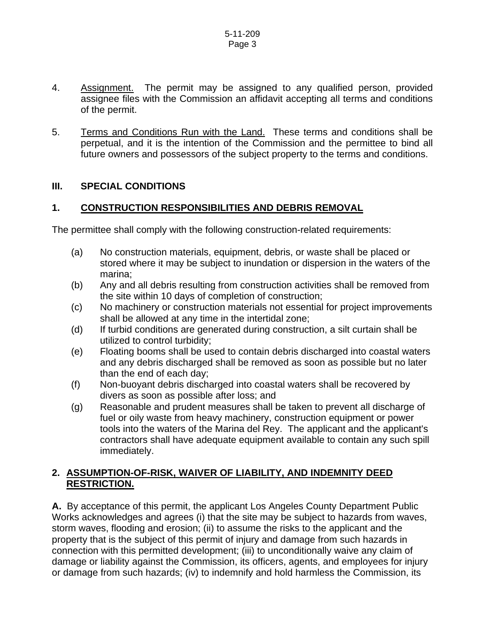- 4. Assignment. The permit may be assigned to any qualified person, provided assignee files with the Commission an affidavit accepting all terms and conditions of the permit.
- 5. Terms and Conditions Run with the Land. These terms and conditions shall be perpetual, and it is the intention of the Commission and the permittee to bind all future owners and possessors of the subject property to the terms and conditions.

## **III. SPECIAL CONDITIONS**

## **1. CONSTRUCTION RESPONSIBILITIES AND DEBRIS REMOVAL**

The permittee shall comply with the following construction-related requirements:

- (a) No construction materials, equipment, debris, or waste shall be placed or stored where it may be subject to inundation or dispersion in the waters of the marina;
- (b) Any and all debris resulting from construction activities shall be removed from the site within 10 days of completion of construction;
- (c) No machinery or construction materials not essential for project improvements shall be allowed at any time in the intertidal zone;
- (d) If turbid conditions are generated during construction, a silt curtain shall be utilized to control turbidity;
- (e) Floating booms shall be used to contain debris discharged into coastal waters and any debris discharged shall be removed as soon as possible but no later than the end of each day;
- (f) Non-buoyant debris discharged into coastal waters shall be recovered by divers as soon as possible after loss; and
- (g) Reasonable and prudent measures shall be taken to prevent all discharge of fuel or oily waste from heavy machinery, construction equipment or power tools into the waters of the Marina del Rey. The applicant and the applicant's contractors shall have adequate equipment available to contain any such spill immediately.

## **2. ASSUMPTION-OF-RISK, WAIVER OF LIABILITY, AND INDEMNITY DEED RESTRICTION.**

**A.** By acceptance of this permit, the applicant Los Angeles County Department Public Works acknowledges and agrees (i) that the site may be subject to hazards from waves, storm waves, flooding and erosion; (ii) to assume the risks to the applicant and the property that is the subject of this permit of injury and damage from such hazards in connection with this permitted development; (iii) to unconditionally waive any claim of damage or liability against the Commission, its officers, agents, and employees for injury or damage from such hazards; (iv) to indemnify and hold harmless the Commission, its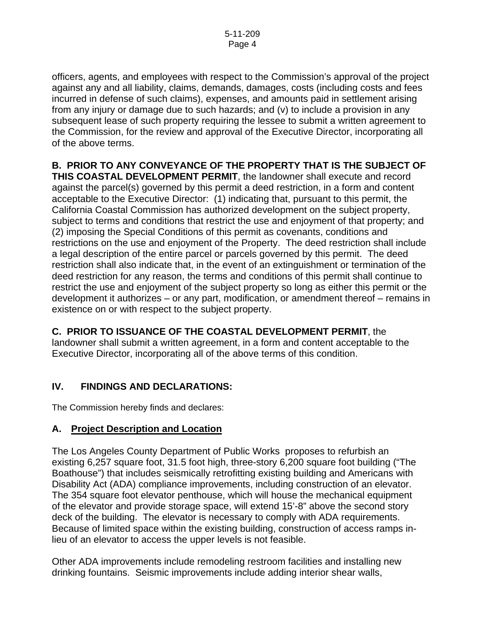officers, agents, and employees with respect to the Commission's approval of the project against any and all liability, claims, demands, damages, costs (including costs and fees incurred in defense of such claims), expenses, and amounts paid in settlement arising from any injury or damage due to such hazards; and (v) to include a provision in any subsequent lease of such property requiring the lessee to submit a written agreement to the Commission, for the review and approval of the Executive Director, incorporating all of the above terms.

## **B. PRIOR TO ANY CONVEYANCE OF THE PROPERTY THAT IS THE SUBJECT OF**

**THIS COASTAL DEVELOPMENT PERMIT**, the landowner shall execute and record against the parcel(s) governed by this permit a deed restriction, in a form and content acceptable to the Executive Director: (1) indicating that, pursuant to this permit, the California Coastal Commission has authorized development on the subject property, subject to terms and conditions that restrict the use and enjoyment of that property; and (2) imposing the Special Conditions of this permit as covenants, conditions and restrictions on the use and enjoyment of the Property. The deed restriction shall include a legal description of the entire parcel or parcels governed by this permit. The deed restriction shall also indicate that, in the event of an extinguishment or termination of the deed restriction for any reason, the terms and conditions of this permit shall continue to restrict the use and enjoyment of the subject property so long as either this permit or the development it authorizes – or any part, modification, or amendment thereof – remains in existence on or with respect to the subject property.

**C. PRIOR TO ISSUANCE OF THE COASTAL DEVELOPMENT PERMIT**, the landowner shall submit a written agreement, in a form and content acceptable to the Executive Director, incorporating all of the above terms of this condition.

## **IV. FINDINGS AND DECLARATIONS:**

The Commission hereby finds and declares:

## **A. Project Description and Location**

The Los Angeles County Department of Public Works proposes to refurbish an existing 6,257 square foot, 31.5 foot high, three-story 6,200 square foot building ("The Boathouse") that includes seismically retrofitting existing building and Americans with Disability Act (ADA) compliance improvements, including construction of an elevator. The 354 square foot elevator penthouse, which will house the mechanical equipment of the elevator and provide storage space, will extend 15'-8" above the second story deck of the building. The elevator is necessary to comply with ADA requirements. Because of limited space within the existing building, construction of access ramps inlieu of an elevator to access the upper levels is not feasible.

Other ADA improvements include remodeling restroom facilities and installing new drinking fountains. Seismic improvements include adding interior shear walls,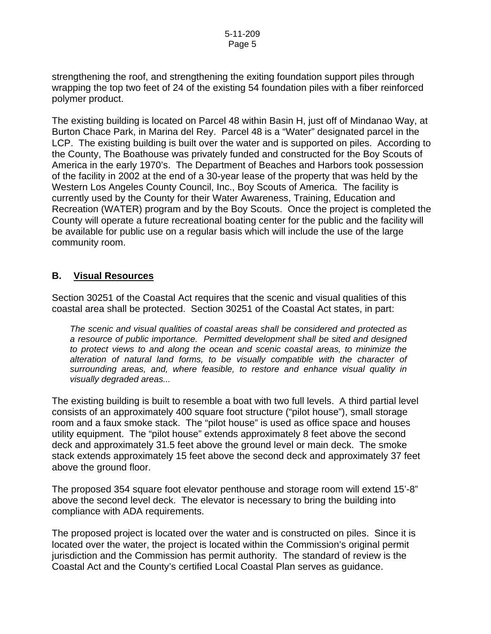strengthening the roof, and strengthening the exiting foundation support piles through wrapping the top two feet of 24 of the existing 54 foundation piles with a fiber reinforced polymer product.

The existing building is located on Parcel 48 within Basin H, just off of Mindanao Way, at Burton Chace Park, in Marina del Rey. Parcel 48 is a "Water" designated parcel in the LCP. The existing building is built over the water and is supported on piles. According to the County, The Boathouse was privately funded and constructed for the Boy Scouts of America in the early 1970's. The Department of Beaches and Harbors took possession of the facility in 2002 at the end of a 30-year lease of the property that was held by the Western Los Angeles County Council, Inc., Boy Scouts of America. The facility is currently used by the County for their Water Awareness, Training, Education and Recreation (WATER) program and by the Boy Scouts. Once the project is completed the County will operate a future recreational boating center for the public and the facility will be available for public use on a regular basis which will include the use of the large community room.

#### **B. Visual Resources**

Section 30251 of the Coastal Act requires that the scenic and visual qualities of this coastal area shall be protected. Section 30251 of the Coastal Act states, in part:

*The scenic and visual qualities of coastal areas shall be considered and protected as a resource of public importance. Permitted development shall be sited and designed to protect views to and along the ocean and scenic coastal areas, to minimize the alteration of natural land forms, to be visually compatible with the character of surrounding areas, and, where feasible, to restore and enhance visual quality in visually degraded areas...* 

The existing building is built to resemble a boat with two full levels. A third partial level consists of an approximately 400 square foot structure ("pilot house"), small storage room and a faux smoke stack. The "pilot house" is used as office space and houses utility equipment. The "pilot house" extends approximately 8 feet above the second deck and approximately 31.5 feet above the ground level or main deck. The smoke stack extends approximately 15 feet above the second deck and approximately 37 feet above the ground floor.

The proposed 354 square foot elevator penthouse and storage room will extend 15'-8" above the second level deck. The elevator is necessary to bring the building into compliance with ADA requirements.

The proposed project is located over the water and is constructed on piles. Since it is located over the water, the project is located within the Commission's original permit jurisdiction and the Commission has permit authority. The standard of review is the Coastal Act and the County's certified Local Coastal Plan serves as guidance.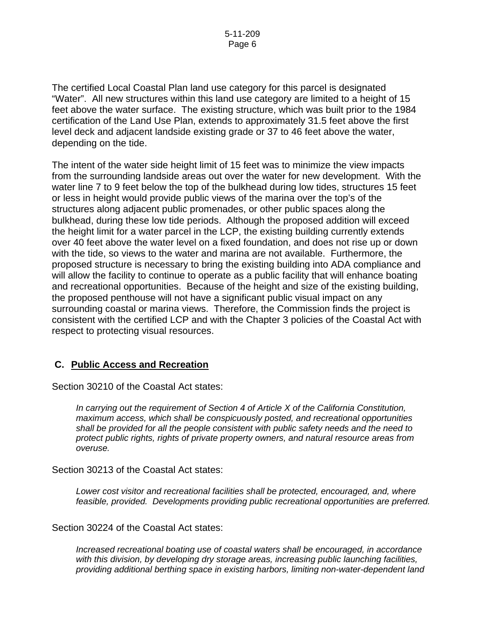The certified Local Coastal Plan land use category for this parcel is designated "Water". All new structures within this land use category are limited to a height of 15 feet above the water surface. The existing structure, which was built prior to the 1984 certification of the Land Use Plan, extends to approximately 31.5 feet above the first level deck and adjacent landside existing grade or 37 to 46 feet above the water, depending on the tide.

The intent of the water side height limit of 15 feet was to minimize the view impacts from the surrounding landside areas out over the water for new development. With the water line 7 to 9 feet below the top of the bulkhead during low tides, structures 15 feet or less in height would provide public views of the marina over the top's of the structures along adjacent public promenades, or other public spaces along the bulkhead, during these low tide periods. Although the proposed addition will exceed the height limit for a water parcel in the LCP, the existing building currently extends over 40 feet above the water level on a fixed foundation, and does not rise up or down with the tide, so views to the water and marina are not available. Furthermore, the proposed structure is necessary to bring the existing building into ADA compliance and will allow the facility to continue to operate as a public facility that will enhance boating and recreational opportunities. Because of the height and size of the existing building, the proposed penthouse will not have a significant public visual impact on any surrounding coastal or marina views. Therefore, the Commission finds the project is consistent with the certified LCP and with the Chapter 3 policies of the Coastal Act with respect to protecting visual resources.

## **C. Public Access and Recreation**

Section 30210 of the Coastal Act states:

*In carrying out the requirement of Section 4 of Article X of the California Constitution, maximum access, which shall be conspicuously posted, and recreational opportunities shall be provided for all the people consistent with public safety needs and the need to protect public rights, rights of private property owners, and natural resource areas from overuse.* 

Section 30213 of the Coastal Act states:

*Lower cost visitor and recreational facilities shall be protected, encouraged, and, where feasible, provided. Developments providing public recreational opportunities are preferred.* 

Section 30224 of the Coastal Act states:

*Increased recreational boating use of coastal waters shall be encouraged, in accordance with this division, by developing dry storage areas, increasing public launching facilities, providing additional berthing space in existing harbors, limiting non-water-dependent land*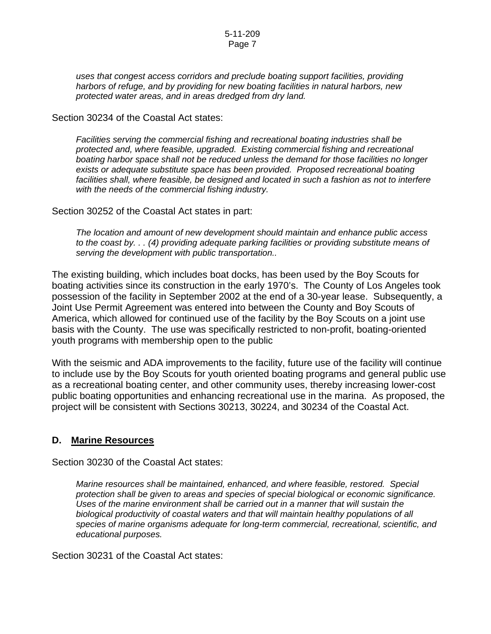*uses that congest access corridors and preclude boating support facilities, providing harbors of refuge, and by providing for new boating facilities in natural harbors, new protected water areas, and in areas dredged from dry land.* 

#### Section 30234 of the Coastal Act states:

*Facilities serving the commercial fishing and recreational boating industries shall be protected and, where feasible, upgraded. Existing commercial fishing and recreational boating harbor space shall not be reduced unless the demand for those facilities no longer exists or adequate substitute space has been provided. Proposed recreational boating*  facilities shall, where feasible, be designed and located in such a fashion as not to interfere *with the needs of the commercial fishing industry.* 

Section 30252 of the Coastal Act states in part:

*The location and amount of new development should maintain and enhance public access to the coast by. . . (4) providing adequate parking facilities or providing substitute means of serving the development with public transportation..* 

The existing building, which includes boat docks, has been used by the Boy Scouts for boating activities since its construction in the early 1970's. The County of Los Angeles took possession of the facility in September 2002 at the end of a 30-year lease. Subsequently, a Joint Use Permit Agreement was entered into between the County and Boy Scouts of America, which allowed for continued use of the facility by the Boy Scouts on a joint use basis with the County. The use was specifically restricted to non-profit, boating-oriented youth programs with membership open to the public

With the seismic and ADA improvements to the facility, future use of the facility will continue to include use by the Boy Scouts for youth oriented boating programs and general public use as a recreational boating center, and other community uses, thereby increasing lower-cost public boating opportunities and enhancing recreational use in the marina. As proposed, the project will be consistent with Sections 30213, 30224, and 30234 of the Coastal Act.

#### **D. Marine Resources**

Section 30230 of the Coastal Act states:

*Marine resources shall be maintained, enhanced, and where feasible, restored. Special protection shall be given to areas and species of special biological or economic significance. Uses of the marine environment shall be carried out in a manner that will sustain the biological productivity of coastal waters and that will maintain healthy populations of all species of marine organisms adequate for long-term commercial, recreational, scientific, and educational purposes.* 

Section 30231 of the Coastal Act states: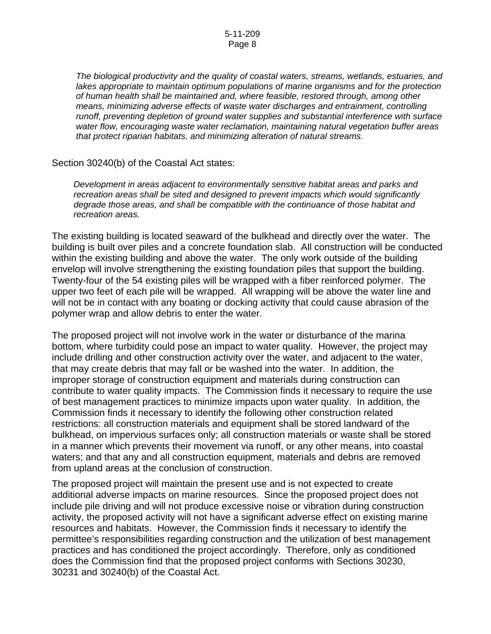*The biological productivity and the quality of coastal waters, streams, wetlands, estuaries, and*  lakes appropriate to maintain optimum populations of marine organisms and for the protection *of human health shall be maintained and, where feasible, restored through, among other means, minimizing adverse effects of waste water discharges and entrainment, controlling runoff, preventing depletion of ground water supplies and substantial interference with surface water flow, encouraging waste water reclamation, maintaining natural vegetation buffer areas that protect riparian habitats, and minimizing alteration of natural streams.* 

#### Section 30240(b) of the Coastal Act states:

*Development in areas adjacent to environmentally sensitive habitat areas and parks and recreation areas shall be sited and designed to prevent impacts which would significantly degrade those areas, and shall be compatible with the continuance of those habitat and recreation areas.* 

The existing building is located seaward of the bulkhead and directly over the water. The building is built over piles and a concrete foundation slab. All construction will be conducted within the existing building and above the water. The only work outside of the building envelop will involve strengthening the existing foundation piles that support the building. Twenty-four of the 54 existing piles will be wrapped with a fiber reinforced polymer. The upper two feet of each pile will be wrapped. All wrapping will be above the water line and will not be in contact with any boating or docking activity that could cause abrasion of the polymer wrap and allow debris to enter the water.

The proposed project will not involve work in the water or disturbance of the marina bottom, where turbidity could pose an impact to water quality. However, the project may include drilling and other construction activity over the water, and adjacent to the water, that may create debris that may fall or be washed into the water. In addition, the improper storage of construction equipment and materials during construction can contribute to water quality impacts. The Commission finds it necessary to require the use of best management practices to minimize impacts upon water quality. In addition, the Commission finds it necessary to identify the following other construction related restrictions: all construction materials and equipment shall be stored landward of the bulkhead, on impervious surfaces only; all construction materials or waste shall be stored in a manner which prevents their movement via runoff, or any other means, into coastal waters; and that any and all construction equipment, materials and debris are removed from upland areas at the conclusion of construction.

The proposed project will maintain the present use and is not expected to create additional adverse impacts on marine resources. Since the proposed project does not include pile driving and will not produce excessive noise or vibration during construction activity, the proposed activity will not have a significant adverse effect on existing marine resources and habitats. However, the Commission finds it necessary to identify the permittee's responsibilities regarding construction and the utilization of best management practices and has conditioned the project accordingly. Therefore, only as conditioned does the Commission find that the proposed project conforms with Sections 30230, 30231 and 30240(b) of the Coastal Act.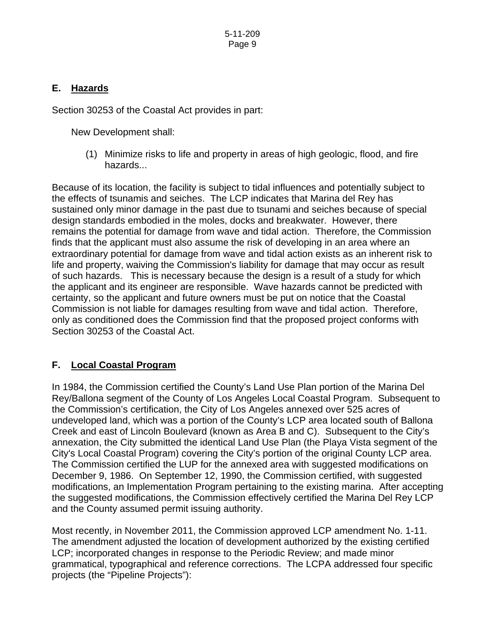# **E. Hazards**

Section 30253 of the Coastal Act provides in part:

New Development shall:

 (1) Minimize risks to life and property in areas of high geologic, flood, and fire hazards...

Because of its location, the facility is subject to tidal influences and potentially subject to the effects of tsunamis and seiches. The LCP indicates that Marina del Rey has sustained only minor damage in the past due to tsunami and seiches because of special design standards embodied in the moles, docks and breakwater. However, there remains the potential for damage from wave and tidal action. Therefore, the Commission finds that the applicant must also assume the risk of developing in an area where an extraordinary potential for damage from wave and tidal action exists as an inherent risk to life and property, waiving the Commission's liability for damage that may occur as result of such hazards. This is necessary because the design is a result of a study for which the applicant and its engineer are responsible. Wave hazards cannot be predicted with certainty, so the applicant and future owners must be put on notice that the Coastal Commission is not liable for damages resulting from wave and tidal action. Therefore, only as conditioned does the Commission find that the proposed project conforms with Section 30253 of the Coastal Act.

# **F. Local Coastal Program**

In 1984, the Commission certified the County's Land Use Plan portion of the Marina Del Rey/Ballona segment of the County of Los Angeles Local Coastal Program. Subsequent to the Commission's certification, the City of Los Angeles annexed over 525 acres of undeveloped land, which was a portion of the County's LCP area located south of Ballona Creek and east of Lincoln Boulevard (known as Area B and C). Subsequent to the City's annexation, the City submitted the identical Land Use Plan (the Playa Vista segment of the City's Local Coastal Program) covering the City's portion of the original County LCP area. The Commission certified the LUP for the annexed area with suggested modifications on December 9, 1986. On September 12, 1990, the Commission certified, with suggested modifications, an Implementation Program pertaining to the existing marina. After accepting the suggested modifications, the Commission effectively certified the Marina Del Rey LCP and the County assumed permit issuing authority.

Most recently, in November 2011, the Commission approved LCP amendment No. 1-11. The amendment adjusted the location of development authorized by the existing certified LCP; incorporated changes in response to the Periodic Review; and made minor grammatical, typographical and reference corrections. The LCPA addressed four specific projects (the "Pipeline Projects"):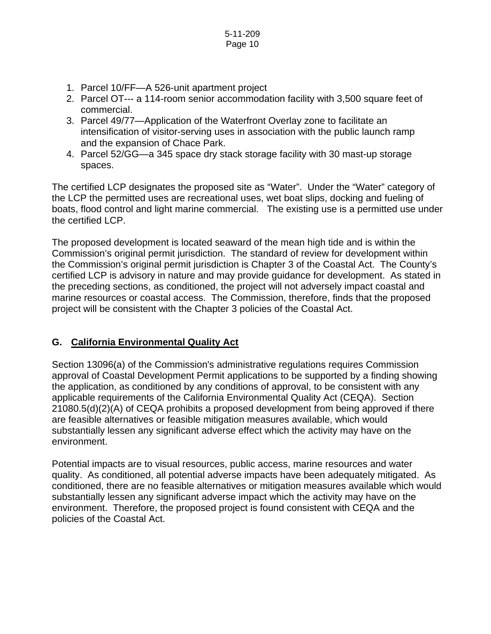- 1. Parcel 10/FF—A 526-unit apartment project
- 2. Parcel OT--- a 114-room senior accommodation facility with 3,500 square feet of commercial.
- 3. Parcel 49/77—Application of the Waterfront Overlay zone to facilitate an intensification of visitor-serving uses in association with the public launch ramp and the expansion of Chace Park.
- 4. Parcel 52/GG—a 345 space dry stack storage facility with 30 mast-up storage spaces.

The certified LCP designates the proposed site as "Water". Under the "Water" category of the LCP the permitted uses are recreational uses, wet boat slips, docking and fueling of boats, flood control and light marine commercial. The existing use is a permitted use under the certified LCP.

The proposed development is located seaward of the mean high tide and is within the Commission's original permit jurisdiction. The standard of review for development within the Commission's original permit jurisdiction is Chapter 3 of the Coastal Act. The County's certified LCP is advisory in nature and may provide guidance for development. As stated in the preceding sections, as conditioned, the project will not adversely impact coastal and marine resources or coastal access. The Commission, therefore, finds that the proposed project will be consistent with the Chapter 3 policies of the Coastal Act.

## **G. California Environmental Quality Act**

Section 13096(a) of the Commission's administrative regulations requires Commission approval of Coastal Development Permit applications to be supported by a finding showing the application, as conditioned by any conditions of approval, to be consistent with any applicable requirements of the California Environmental Quality Act (CEQA). Section 21080.5(d)(2)(A) of CEQA prohibits a proposed development from being approved if there are feasible alternatives or feasible mitigation measures available, which would substantially lessen any significant adverse effect which the activity may have on the environment.

Potential impacts are to visual resources, public access, marine resources and water quality. As conditioned, all potential adverse impacts have been adequately mitigated. As conditioned, there are no feasible alternatives or mitigation measures available which would substantially lessen any significant adverse impact which the activity may have on the environment. Therefore, the proposed project is found consistent with CEQA and the policies of the Coastal Act.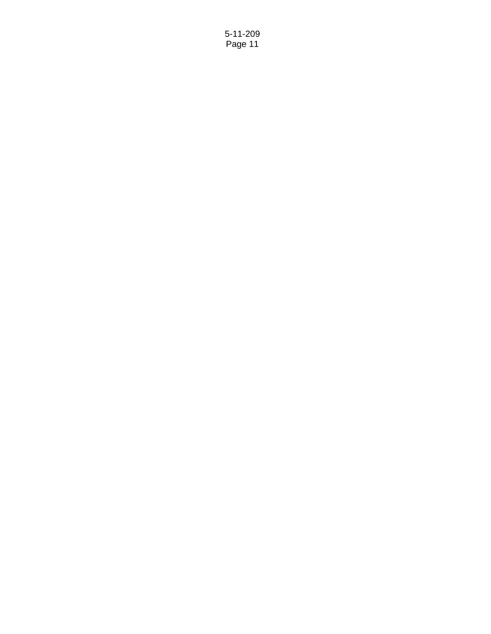5-11-209 Page 11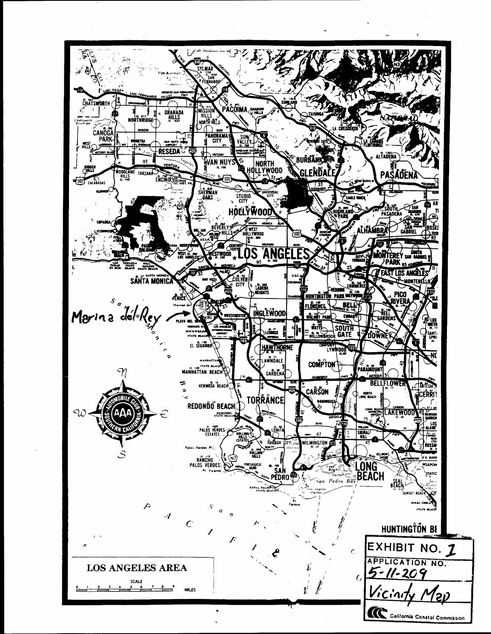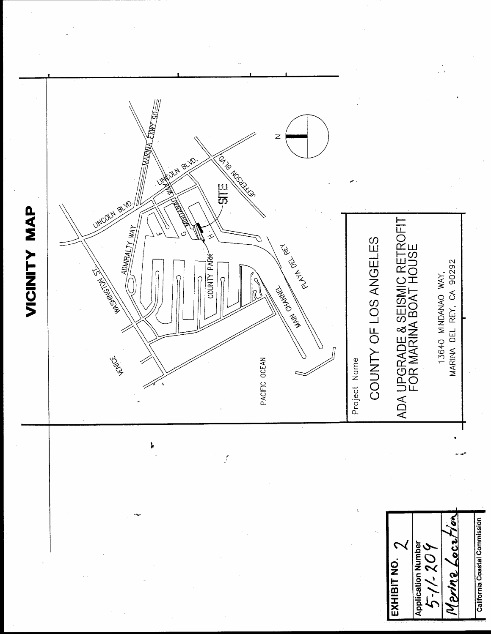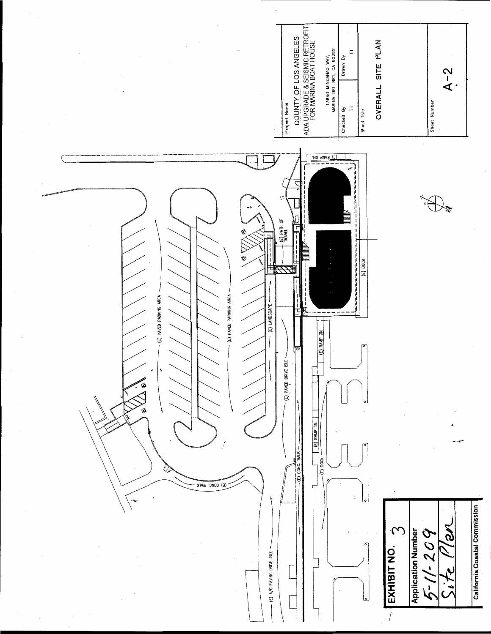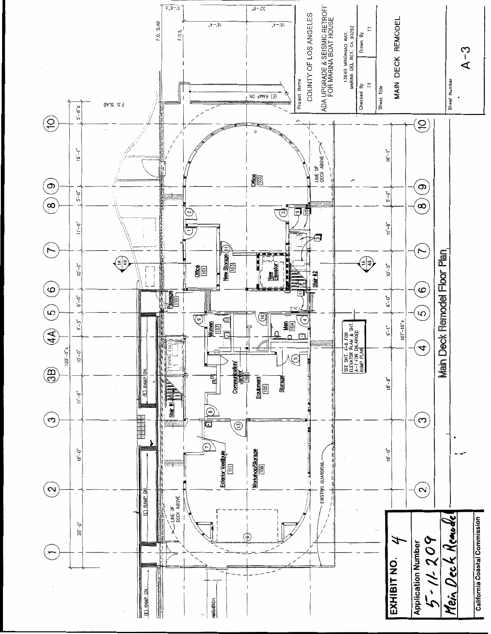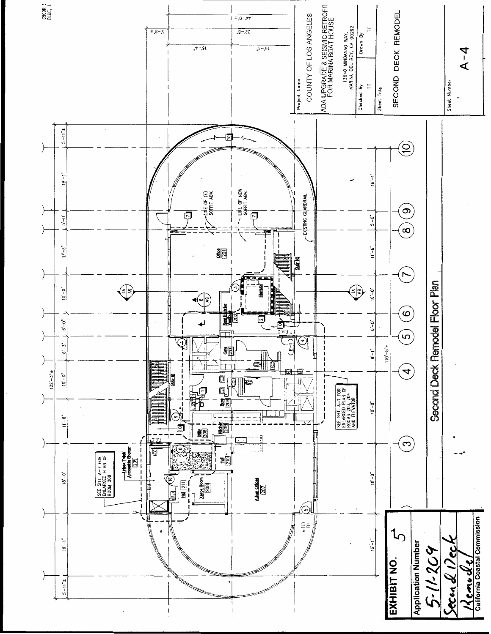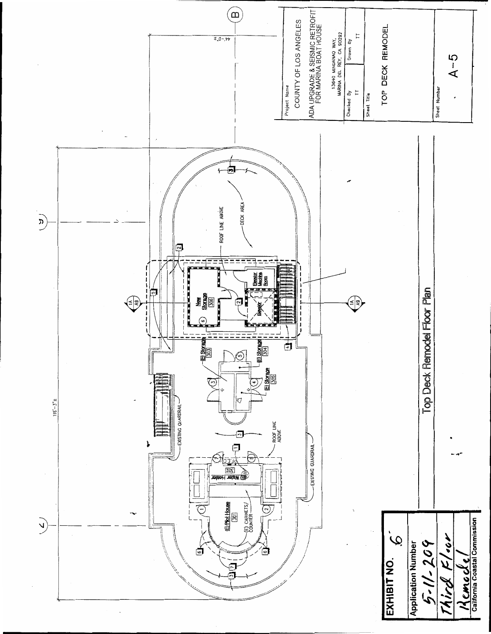